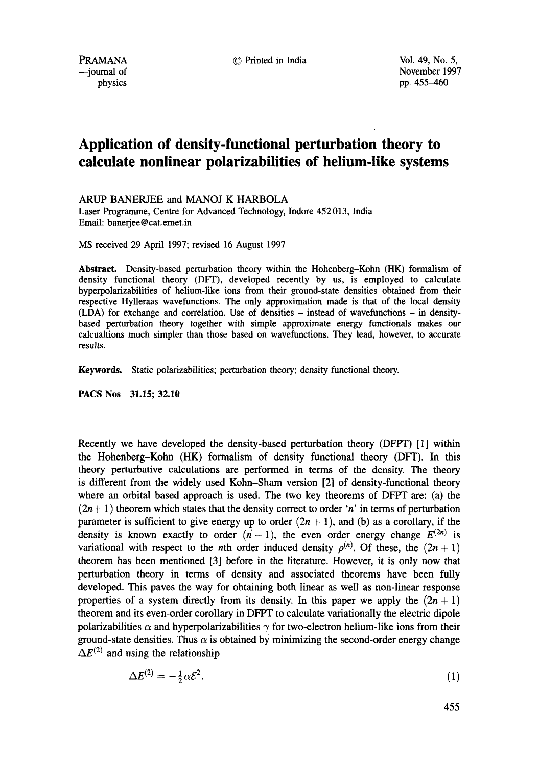--journal of November 1997<br>physics pp. 455-460 pp. 455-460

# **Application of density-functional perturbation theory to calculate nonlinear polarizabilities of helium-like systems**

ARUP BANERJEE and MANOJ K HARBOLA

Laser Programme, Centre for Advanced Technology, Indore 452 013, India Email: banerjee @ cat.ernet.in

MS received 29 April 1997; revised 16 August 1997

**Abstract.** Density-based perturbation theory within the Hohenberg-Kohn (HK) formalism of density functional theory (DFT), developed recently by us, is employed to calculate hyperpolarizabilities of helium-like ions from their ground-state densities obtained from their respective Hylleraas wavefunctions. The only approximation made is that of the local density (LDA) for exchange and correlation. Use of densities - instead of wavefunctions - in densitybased perturbation theory together with simple approximate energy functionals makes our calcualtions much simpler than those based on wavefunctions. They lead, however, to accurate results.

**Keywords.** Static polarizabilities; perturbation theory; density functional theory.

**PACS Nos 31.15; 32.10** 

Recently we have developed the density-based perturbation theory (DFPT) [1] within the Hohenberg-Kohn (HK) formalism of density functional theory (DFT). In this theory perturbative calculations are performed in terms of the density. The theory is different from the widely used Kohn-Sham version [2] of density-functional theory where an orbital based approach is used. The two key theorems of DFPT are: (a) the  $(2n+1)$  theorem which states that the density correct to order 'n' in terms of perturbation parameter is sufficient to give energy up to order  $(2n + 1)$ , and (b) as a corollary, if the density is known exactly to order  $(n - 1)$ , the even order energy change  $E^{(2n)}$  is variational with respect to the *n*th order induced density  $\rho^{(n)}$ . Of these, the  $(2n + 1)$ theorem has been mentioned [3] before in the literature. However, it is only now that perturbation theory in terms of density and associated theorems have been fully developed. This paves the way for obtaining both linear as well as non-linear response properties of a system directly from its density. In this paper we apply the  $(2n + 1)$ theorem and its even-order corollary in DFPT to calculate variationally the electric dipole polarizabilities  $\alpha$  and hyperpolarizabilities  $\gamma$  for two-electron helium-like ions from their ground-state densities. Thus  $\alpha$  is obtained by minimizing the second-order energy change  $\Delta E^{(2)}$  and using the relationship

$$
\Delta E^{(2)} = -\frac{1}{2}\alpha \mathcal{E}^2. \tag{1}
$$

455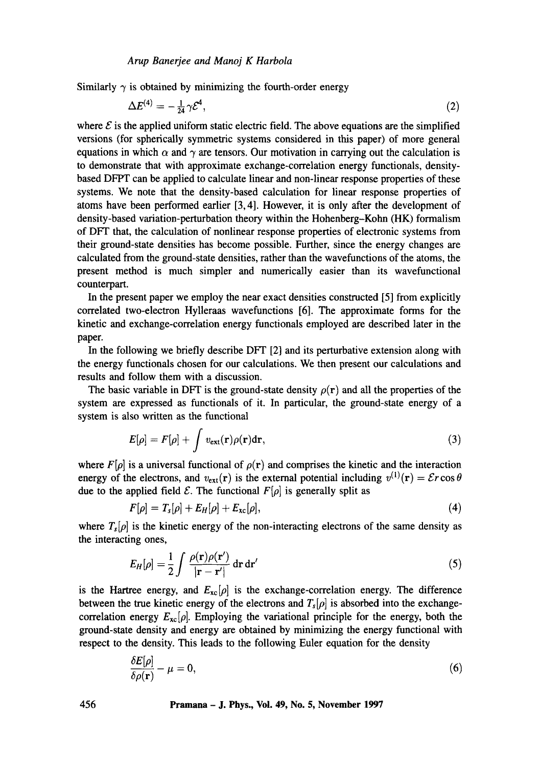Similarly  $\gamma$  is obtained by minimizing the fourth-order energy

$$
\Delta E^{(4)} = -\frac{1}{24} \gamma \mathcal{E}^4,\tag{2}
$$

where  $\mathcal E$  is the applied uniform static electric field. The above equations are the simplified versions (for spherically symmetric systems considered in this paper) of more general equations in which  $\alpha$  and  $\gamma$  are tensors. Our motivation in carrying out the calculation is to demonstrate that with approximate exchange-correlation energy functionals, densitybased DFPT can be applied to calculate linear and non-linear response properties of these systems. We note that the density-based calculation for linear response properties of atoms have been performed earlier [3, 4]. However, it is only after the development of density-based variation-perturbation theory within the Hohenberg-Kohn (HK) formalism of DFT that, the calculation of nonlinear response properties of electronic systems from their ground-state densities has become possible. Further, since the energy changes are calculated from the ground-state densities, rather than the wavefunctions of the atoms, the present method is much simpler and numerically easier than its wavefunctional counterpart.

In the present paper we employ the near exact densities constructed [5] from explicitly correlated two-electron Hylleraas wavefunctions [6]. The approximate forms for the kinetic and exchange-correlation energy functionals employed are described later in the paper.

In the following we briefly describe DFT [2] and its perturbative extension along with the energy functionals chosen for our calculations. We then present our calculations and results and follow them with a discussion.

The basic variable in DFT is the ground-state density  $\rho(\mathbf{r})$  and all the properties of the system are expressed as functionals of it. In particular, the ground-state energy of a system is also written as the functional

$$
E[\rho] = F[\rho] + \int v_{\text{ext}}(\mathbf{r})\rho(\mathbf{r})d\mathbf{r},
$$
\n(3)

where  $F[\rho]$  is a universal functional of  $\rho(\mathbf{r})$  and comprises the kinetic and the interaction energy of the electrons, and  $v_{\text{ext}}(\mathbf{r})$  is the external potential including  $v^{(1)}(\mathbf{r}) = \mathcal{E}r \cos \theta$ due to the applied field  $\mathcal{E}$ . The functional  $F[\rho]$  is generally split as

$$
F[\rho] = T_s[\rho] + E_H[\rho] + E_{xc}[\rho], \tag{4}
$$

where  $T_s[\rho]$  is the kinetic energy of the non-interacting electrons of the same density as the interacting ones,

$$
E_H[\rho] = \frac{1}{2} \int \frac{\rho(\mathbf{r})\rho(\mathbf{r}')}{|\mathbf{r} - \mathbf{r}'|} d\mathbf{r} d\mathbf{r}'
$$
 (5)

is the Hartree energy, and  $E_{\text{xc}}[\rho]$  is the exchange-correlation energy. The difference between the true kinetic energy of the electrons and  $T_s[\rho]$  is absorbed into the exchangecorrelation energy  $E_{\rm xc}[\rho]$ . Employing the variational principle for the energy, both the ground-state density and energy are obtained by minimizing the energy functional with respect to the density. This leads to the following Euler equation for the density

$$
\frac{\delta E[\rho]}{\delta \rho(\mathbf{r})} - \mu = 0,\tag{6}
$$

**456 Pramana - J. Phys., Voi. 49, No. 5, November 1997**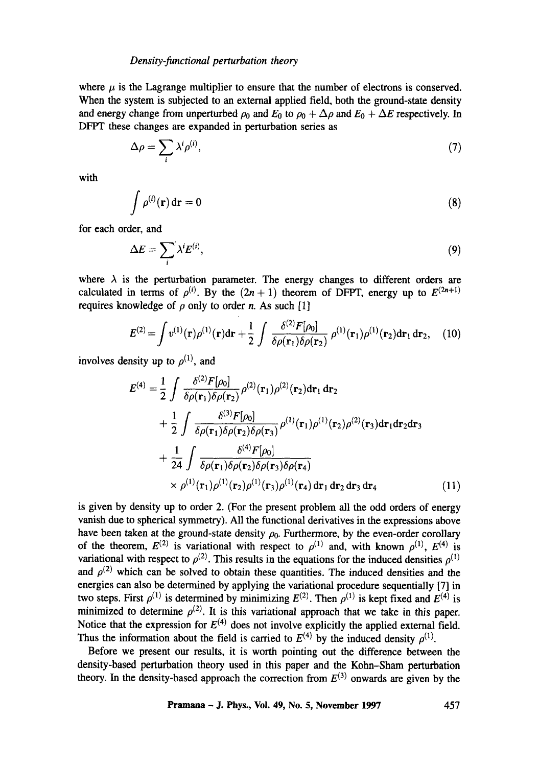#### *Density-functional perturbation theory*

where  $\mu$  is the Lagrange multiplier to ensure that the number of electrons is conserved. When the system is subjected to an external applied field, both the ground-state density and energy change from unperturbed  $\rho_0$  and  $E_0$  to  $\rho_0 + \Delta \rho$  and  $E_0 + \Delta E$  respectively. In DFPT these changes are expanded in perturbation series as

$$
\Delta \rho = \sum_{i} \lambda^{i} \rho^{(i)},\tag{7}
$$

with

$$
\int \rho^{(i)}(\mathbf{r}) d\mathbf{r} = 0 \tag{8}
$$

for each order, and

$$
\Delta E = \sum_{i} \lambda^{i} E^{(i)}, \tag{9}
$$

where  $\lambda$  is the perturbation parameter. The energy changes to different orders are calculated in terms of  $\rho^{(i)}$ . By the  $(2n + 1)$  theorem of DFPT, energy up to  $E^{(2n+1)}$ requires knowledge of  $\rho$  only to order n. As such [1]

$$
E^{(2)} = \int v^{(1)}(\mathbf{r}) \rho^{(1)}(\mathbf{r}) d\mathbf{r} + \frac{1}{2} \int \frac{\delta^{(2)} F[\rho_0]}{\delta \rho(\mathbf{r}_1) \delta \rho(\mathbf{r}_2)} \rho^{(1)}(\mathbf{r}_1) \rho^{(1)}(\mathbf{r}_2) d\mathbf{r}_1 d\mathbf{r}_2, \quad (10)
$$

involves density up to  $\rho^{(1)}$ , and

$$
E^{(4)} = \frac{1}{2} \int \frac{\delta^{(2)}F[\rho_0]}{\delta \rho(\mathbf{r}_1)\delta \rho(\mathbf{r}_2)} \rho^{(2)}(\mathbf{r}_1)\rho^{(2)}(\mathbf{r}_2) d\mathbf{r}_1 d\mathbf{r}_2 + \frac{1}{2} \int \frac{\delta^{(3)}F[\rho_0]}{\delta \rho(\mathbf{r}_1)\delta \rho(\mathbf{r}_2)\delta \rho(\mathbf{r}_3)} \rho^{(1)}(\mathbf{r}_1)\rho^{(1)}(\mathbf{r}_2)\rho^{(2)}(\mathbf{r}_3) d\mathbf{r}_1 d\mathbf{r}_2 d\mathbf{r}_3 + \frac{1}{24} \int \frac{\delta^{(4)}F[\rho_0]}{\delta \rho(\mathbf{r}_1)\delta \rho(\mathbf{r}_2)\delta \rho(\mathbf{r}_3)\delta \rho(\mathbf{r}_4)} \times \rho^{(1)}(\mathbf{r}_1)\rho^{(1)}(\mathbf{r}_2)\rho^{(1)}(\mathbf{r}_3)\rho^{(1)}(\mathbf{r}_4) d\mathbf{r}_1 d\mathbf{r}_2 d\mathbf{r}_3 d\mathbf{r}_4
$$
 (11)

is given by density up to order 2. (For the present problem all the odd orders of energy vanish due to spherical symmetry). All the functional derivatives in the expressions above have been taken at the ground-state density  $\rho_0$ . Furthermore, by the even-order corollary of the theorem,  $E^{(2)}$  is variational with respect to  $\rho^{(1)}$  and, with known  $\rho^{(1)}$ ,  $E^{(4)}$  is variational with respect to  $\rho^{(2)}$ . This results in the equations for the induced densities  $\rho^{(1)}$ and  $\rho^{(2)}$  which can be solved to obtain these quantities. The induced densities and the energies can also be determined by applying the variational procedure sequentially [7] in two steps. First  $\rho^{(1)}$  is determined by minimizing  $E^{(2)}$ . Then  $\rho^{(1)}$  is kept fixed and  $E^{(4)}$  is minimized to determine  $\rho^{(2)}$ . It is this variational approach that we take in this paper. Notice that the expression for  $E^{(4)}$  does not involve explicitly the applied external field. Thus the information about the field is carried to  $E^{(4)}$  by the induced density  $\rho^{(1)}$ .

Before we present our results, it is worth pointing out the difference between the density-based perturbation theory used in this paper and the Kohn-Sham perturbation theory. In the density-based approach the correction from  $E^{(3)}$  onwards are given by the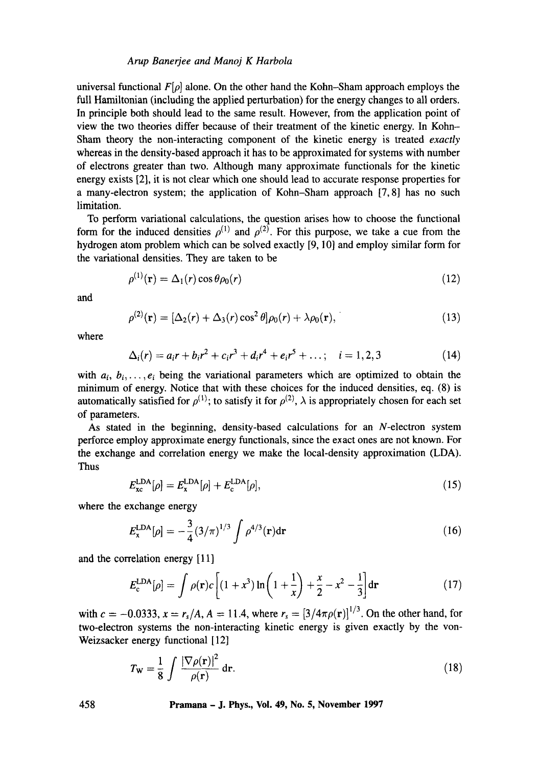### *Arup Banerjee and Manoj K Harbola*

universal functional  $F[\rho]$  alone. On the other hand the Kohn-Sham approach employs the full Hamiltonian (including the applied perturbation) for the energy changes to all orders. In principle both should lead to the same result. However, from the application point of view the two theories differ because of their treatment of the kinetic energy. In Kohn-Sham theory the non-interacting component of the kinetic energy is treated *exactly*  whereas in the density-based approach it has to be approximated for systems with number of electrons greater than two. Although many approximate functionals for the kinetic energy exists [2], it is not clear which one should lead to accurate response properties for a many-electron system; the application of Kohn-Sham approach [7, 8] has no such limitation.

To perform variational calculations, the question arises how to choose the functional form for the induced densities  $\rho^{(1)}$  and  $\rho^{(2)}$ . For this purpose, we take a cue from the hydrogen atom problem which can be solved exactly [9, 10] and employ similar form for the variational densities. They are taken to be

$$
\rho^{(1)}(\mathbf{r}) = \Delta_1(r) \cos \theta \rho_0(r) \tag{12}
$$

and

$$
\rho^{(2)}(\mathbf{r}) = [\Delta_2(r) + \Delta_3(r)\cos^2\theta]\rho_0(r) + \lambda\rho_0(\mathbf{r}), \qquad (13)
$$

where

$$
\Delta_i(r) = a_i r + b_i r^2 + c_i r^3 + d_i r^4 + e_i r^5 + \dots; \quad i = 1, 2, 3
$$
 (14)

with  $a_i, b_i, \ldots, e_i$  being the variational parameters which are optimized to obtain the minimum of energy. Notice that with these choices for the induced densities, eq. (8) is automatically satisfied for  $\rho^{(1)}$ ; to satisfy it for  $\rho^{(2)}$ ,  $\lambda$  is appropriately chosen for each set of parameters.

As stated in the beginning, density-based calculations for an N-electron system perforce employ approximate energy functionals, since the exact ones are not known. For the exchange and correlation energy we make the local-density approximation (LDA). Thus

$$
E_{\rm xc}^{\rm LDA}[\rho] = E_{\rm x}^{\rm LDA}[\rho] + E_{\rm c}^{\rm LDA}[\rho],\tag{15}
$$

where the exchange energy

$$
E_{\rm x}^{\rm LDA}[\rho] = -\frac{3}{4} (3/\pi)^{1/3} \int \rho^{4/3}({\bf r}) d{\bf r}
$$
 (16)

and the correlation energy [11]

$$
E_c^{\text{LDA}}[\rho] = \int \rho(\mathbf{r}) c \left[ (1+x^3) \ln \left( 1 + \frac{1}{x} \right) + \frac{x}{2} - x^2 - \frac{1}{3} \right] d\mathbf{r}
$$
 (17)

with  $c = -0.0333$ ,  $x = r_s/A$ ,  $A = 11.4$ , where  $r_s = [3/4\pi\rho(\mathbf{r})]^{1/3}$ . On the other hand, for two-electron systems the non-interacting kinetic energy is given exactly by the von-Weizsacker energy functional [12]

$$
T_{\mathbf{W}} = \frac{1}{8} \int \frac{|\nabla \rho(\mathbf{r})|^2}{\rho(\mathbf{r})} d\mathbf{r}.
$$
 (18)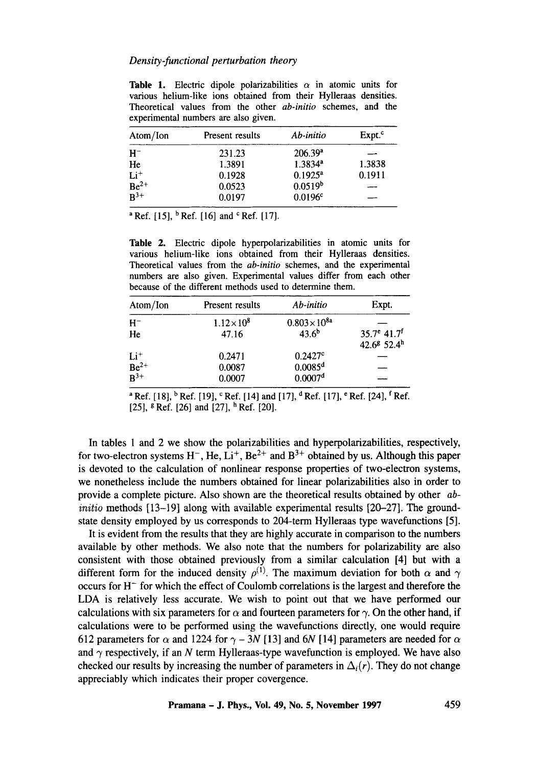#### *Density-functional perturbation theory*

**Table 1.** Electric dipole polarizabilities  $\alpha$  in atomic units for various helium-like ions obtained from their Hylleraas densities. Theoretical values from the other *ab-initio* schemes, and the experimental numbers are also given.

| Atom/Ion                 | Present results | Ab-initio             | Expt. <sup>c</sup> |
|--------------------------|-----------------|-----------------------|--------------------|
| $H^-$                    | 231.23          | $206.39^a$            |                    |
| He                       | 1.3891          | $1.3834$ <sup>a</sup> | 1.3838             |
| $Li+$                    | 0.1928          | $0.1925^a$            | 0.1911             |
| $\frac{Be^{2+}}{B^{3+}}$ | 0.0523          | 0.0519 <sup>b</sup>   |                    |
|                          | 0.0197          | 0.0196c               |                    |

<sup>a</sup> Ref. [15], <sup>b</sup> Ref. [16] and <sup>c</sup> Ref. [17].

Table 2. Electric dipole hyperpolarizabilities in atomic units for various helium-like ions obtained from their Hylleraas densities. Theoretical values from the *ab-initio* schemes, and the experimental numbers are also given. Experimental values differ from each other because of the different methods used to determine them.

| Atom/Ion                   | Present results    | Ab-initio             | Expt.                                                             |
|----------------------------|--------------------|-----------------------|-------------------------------------------------------------------|
| $H^-$                      | $1.12\times10^{8}$ | $0.803\times10^{8a}$  |                                                                   |
| He                         | 47.16              | $43.6^{b}$            | $35.7^e$ 41.7 <sup>f</sup><br>42.6 <sup>8</sup> 52.4 <sup>h</sup> |
|                            | 0.2471             | 0.2427c               |                                                                   |
| $Li^+$<br>Be <sup>2+</sup> | 0.0087             | $0.0085$ <sup>d</sup> |                                                                   |
| $\overline{B^{3+}}$        | 0.0007             | 0.0007 <sup>d</sup>   |                                                                   |

<sup>a</sup> Ref. [18],  $\frac{b}{n}$  Ref. [19],  $\frac{c}{n}$  Ref. [14] and [17],  $\frac{d}{n}$  Ref. [17],  $\frac{e}{n}$  Ref. [24],  $\frac{f}{n}$  Ref. [25],  $\frac{8}{3}$  Ref. [26] and [27],  $\frac{h}{3}$  Ref. [20].

In tables 1 and 2 we show the polarizabilities and hyperpolarizabilities, respectively, for two-electron systems  $H^-$ , He,  $Li^+$ , Be<sup>2+</sup> and B<sup>3+</sup> obtained by us. Although this paper is devoted to the calculation of nonlinear response properties of two-electron systems, we nonetheless include the numbers obtained for linear polarizabilities also in order to provide a complete picture. Also shown are the theoretical results obtained by other *abinitio* methods [13-19] along with available experimental results [20-27]. The groundstate density employed by us corresponds to 204-term Hylleraas type wavefunctions [5].

It is evident from the results that they are highly accurate in comparison to the numbers available by other methods. We also note that the numbers for polarizability are also consistent with those obtained previously from a similar calculation [4] but with a different form for the induced density  $\rho^{(1)}$ . The maximum deviation for both  $\alpha$  and  $\gamma$ occurs for  $H^-$  for which the effect of Coulomb correlations is the largest and therefore the LDA is relatively less accurate. We wish to point out that we have performed our calculations with six parameters for  $\alpha$  and fourteen parameters for  $\gamma$ . On the other hand, if calculations were to be performed using the wavefunctions directly, one would require 612 parameters for  $\alpha$  and 1224 for  $\gamma$  – 3N [13] and 6N [14] parameters are needed for  $\alpha$ and  $\gamma$  respectively, if an N term Hylleraas-type wavefunction is employed. We have also checked our results by increasing the number of parameters in  $\Delta_i(r)$ . They do not change appreciably which indicates their proper covergence.